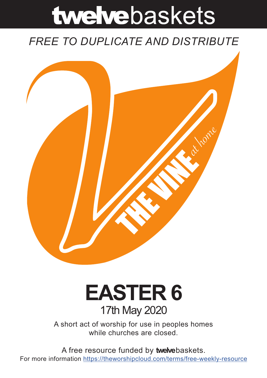# twelvebaskets

### *FREE TO DUPLICATE AND DISTRIBUTE*



## **EASTER 6** 17th May 2020

A short act of worship for use in peoples homes while churches are closed.

A free resource funded by **twelve**baskets. For more information https://theworshipcloud.com/terms/free-weekly-resource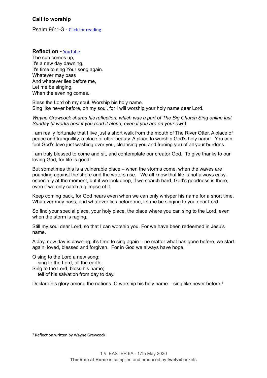#### **Call to worship**

Psalm 96:1-3 - [Click for reading](https://www.biblegateway.com/passage/?search=Psalm+96:1-3&version=NIV)

#### **Reflection -** [YouTube](https://www.youtube.com/watch?v=7DrVPBe14WY)

The sun comes up, It's a new day dawning, It's time to sing Your song again. Whatever may pass And whatever lies before me, Let me be singing, When the evening comes.

Bless the Lord oh my soul. Worship his holy name. Sing like never before, oh my soul, for I will worship your holy name dear Lord.

*Wayne Grewcock shares his reflection, which was a part of The Big Church Sing online last Sunday (it works best if you read it aloud, even if you are on your own):* 

I am really fortunate that I live just a short walk from the mouth of The River Otter. A place of peace and tranquillity, a place of utter beauty. A place to worship God's holy name. You can feel God's love just washing over you, cleansing you and freeing you of all your burdens.

I am truly blessed to come and sit, and contemplate our creator God. To give thanks to our loving God, for life is good!

But sometimes this is a vulnerable place – when the storms come, when the waves are pounding against the shore and the waters rise. We all know that life is not always easy, especially at the moment, but if we look deep, if we search hard, God's goodness is there, even if we only catch a glimpse of it.

Keep coming back, for God hears even when we can only whisper his name for a short time. Whatever may pass, and whatever lies before me, let me be singing to you dear Lord.

So find your special place, your holy place, the place where you can sing to the Lord, even when the storm is raging.

Still my soul dear Lord, so that I can worship you. For we have been redeemed in Jesu's name.

A day, new day is dawning, it's time to sing again – no matter what has gone before, we start again: loved, blessed and forgiven. For in God we always have hope.

O sing to the Lord a new song;

<span id="page-1-1"></span>sing to the Lord, all the earth.

- Sing to the Lord, bless his name;
	- tell of his salvation from day to day.

Declare his glory among the nations. O worship his holy name – sing like never before.<sup>[1](#page-1-0)</sup>

<span id="page-1-0"></span><sup>&</sup>lt;sup>[1](#page-1-1)</sup> Reflection written by Wayne Grewcock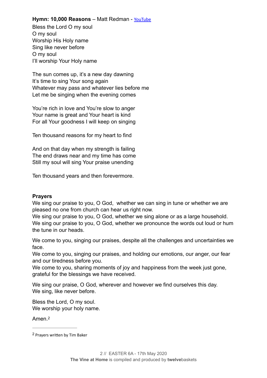#### Hymn: 10,000 Reasons - Matt Redman - [YouTube](https://www.youtube.com/watch?v=o2M58JuV-FU)

Bless the Lord O my soul O my soul Worship His Holy name Sing like never before O my soul I'll worship Your Holy name

The sun comes up, it's a new day dawning It's time to sing Your song again Whatever may pass and whatever lies before me Let me be singing when the evening comes

You're rich in love and You're slow to anger Your name is great and Your heart is kind For all Your goodness I will keep on singing

Ten thousand reasons for my heart to find

And on that day when my strength is failing The end draws near and my time has come Still my soul will sing Your praise unending

Ten thousand years and then forevermore.

#### **Prayers**

We sing our praise to you, O God, whether we can sing in tune or whether we are pleased no one from church can hear us right now.

We sing our praise to you, O God, whether we sing alone or as a large household. We sing our praise to you, O God, whether we pronounce the words out loud or hum the tune in our heads.

We come to you, singing our praises, despite all the challenges and uncertainties we face.

We come to you, singing our praises, and holding our emotions, our anger, our fear and our tiredness before you.

We come to you, sharing moments of joy and happiness from the week just gone, grateful for the blessings we have received.

We sing our praise, O God, wherever and however we find ourselves this day. We sing, like never before.

Bless the Lord, O my soul. We worship your holy name.

<span id="page-2-1"></span>Amen<sup>[2](#page-2-0)</sup>

<span id="page-2-0"></span><sup>&</sup>lt;sup>[2](#page-2-1)</sup> Prayers written by Tim Baker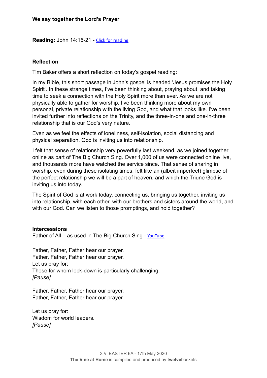**Reading:** John 14:15-21 - [Click for reading](https://www.biblegateway.com/passage/?search=John%2014:15-21)

#### **Reflection**

Tim Baker offers a short reflection on today's gospel reading:

In my Bible, this short passage in John's gospel is headed 'Jesus promises the Holy Spirit'. In these strange times, I've been thinking about, praying about, and taking time to seek a connection with the Holy Spirit more than ever. As we are not physically able to gather for worship, I've been thinking more about my own personal, private relationship with the living God, and what that looks like. I've been invited further into reflections on the Trinity, and the three-in-one and one-in-three relationship that is our God's very nature.

Even as we feel the effects of loneliness, self-isolation, social distancing and physical separation, God is inviting us into relationship.

I felt that sense of relationship very powerfully last weekend, as we joined together online as part of The Big Church Sing. Over 1,000 of us were connected online live, and thousands more have watched the service since. That sense of sharing in worship, even during these isolating times, felt like an (albeit imperfect) glimpse of the perfect relationship we will be a part of heaven, and which the Triune God is inviting us into today.

The Spirit of God is at work today, connecting us, bringing us together, inviting us into relationship, with each other, with our brothers and sisters around the world, and with our God. Can we listen to those promptings, and hold together?

#### **Intercessions**

Father of All – as used in The Big Church Sing - [YouTube](https://www.youtube.com/watch?v=B7ktufI93_Q)

Father, Father, Father hear our prayer. Father, Father, Father hear our prayer. Let us pray for: Those for whom lock-down is particularly challenging. *[Pause]* 

Father, Father, Father hear our prayer. Father, Father, Father hear our prayer.

Let us pray for: Wisdom for world leaders. *[Pause]*